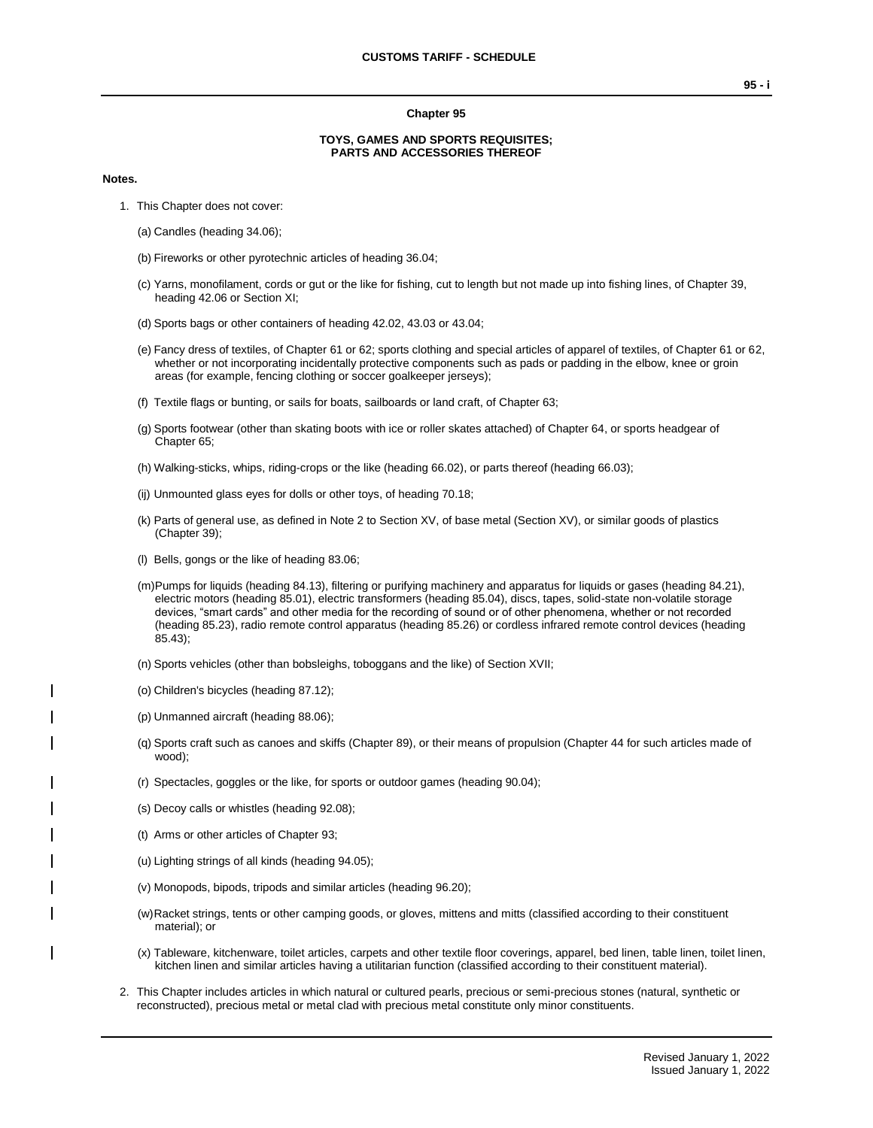#### **Chapter 95**

## **TOYS, GAMES AND SPORTS REQUISITES; PARTS AND ACCESSORIES THEREOF**

#### **Notes.**

- 1. This Chapter does not cover:
	- (a) Candles (heading 34.06);
	- (b) Fireworks or other pyrotechnic articles of heading 36.04;
	- (c) Yarns, monofilament, cords or gut or the like for fishing, cut to length but not made up into fishing lines, of Chapter 39, heading 42.06 or Section XI;
	- (d) Sports bags or other containers of heading 42.02, 43.03 or 43.04;
	- (e) Fancy dress of textiles, of Chapter 61 or 62; sports clothing and special articles of apparel of textiles, of Chapter 61 or 62, whether or not incorporating incidentally protective components such as pads or padding in the elbow, knee or groin areas (for example, fencing clothing or soccer goalkeeper jerseys);
	- (f) Textile flags or bunting, or sails for boats, sailboards or land craft, of Chapter 63;
	- (g) Sports footwear (other than skating boots with ice or roller skates attached) of Chapter 64, or sports headgear of Chapter 65;
	- (h) Walking-sticks, whips, riding-crops or the like (heading 66.02), or parts thereof (heading 66.03);
	- (ij) Unmounted glass eyes for dolls or other toys, of heading 70.18;
	- (k) Parts of general use, as defined in Note 2 to Section XV, of base metal (Section XV), or similar goods of plastics (Chapter 39);
	- (l) Bells, gongs or the like of heading 83.06;
	- (m)Pumps for liquids (heading 84.13), filtering or purifying machinery and apparatus for liquids or gases (heading 84.21), electric motors (heading 85.01), electric transformers (heading 85.04), discs, tapes, solid-state non-volatile storage devices, "smart cards" and other media for the recording of sound or of other phenomena, whether or not recorded (heading 85.23), radio remote control apparatus (heading 85.26) or cordless infrared remote control devices (heading 85.43);
	- (n) Sports vehicles (other than bobsleighs, toboggans and the like) of Section XVII;
	- (o) Children's bicycles (heading 87.12);
	- (p) Unmanned aircraft (heading 88.06);
	- (q) Sports craft such as canoes and skiffs (Chapter 89), or their means of propulsion (Chapter 44 for such articles made of wood);
	- (r) Spectacles, goggles or the like, for sports or outdoor games (heading 90.04);
	- (s) Decoy calls or whistles (heading 92.08);
	- (t) Arms or other articles of Chapter 93;
	- (u) Lighting strings of all kinds (heading 94.05);
	- (v) Monopods, bipods, tripods and similar articles (heading 96.20);
	- (w)Racket strings, tents or other camping goods, or gloves, mittens and mitts (classified according to their constituent material); or
	- (x) Tableware, kitchenware, toilet articles, carpets and other textile floor coverings, apparel, bed linen, table linen, toilet linen, kitchen linen and similar articles having a utilitarian function (classified according to their constituent material).
- 2. This Chapter includes articles in which natural or cultured pearls, precious or semi-precious stones (natural, synthetic or reconstructed), precious metal or metal clad with precious metal constitute only minor constituents.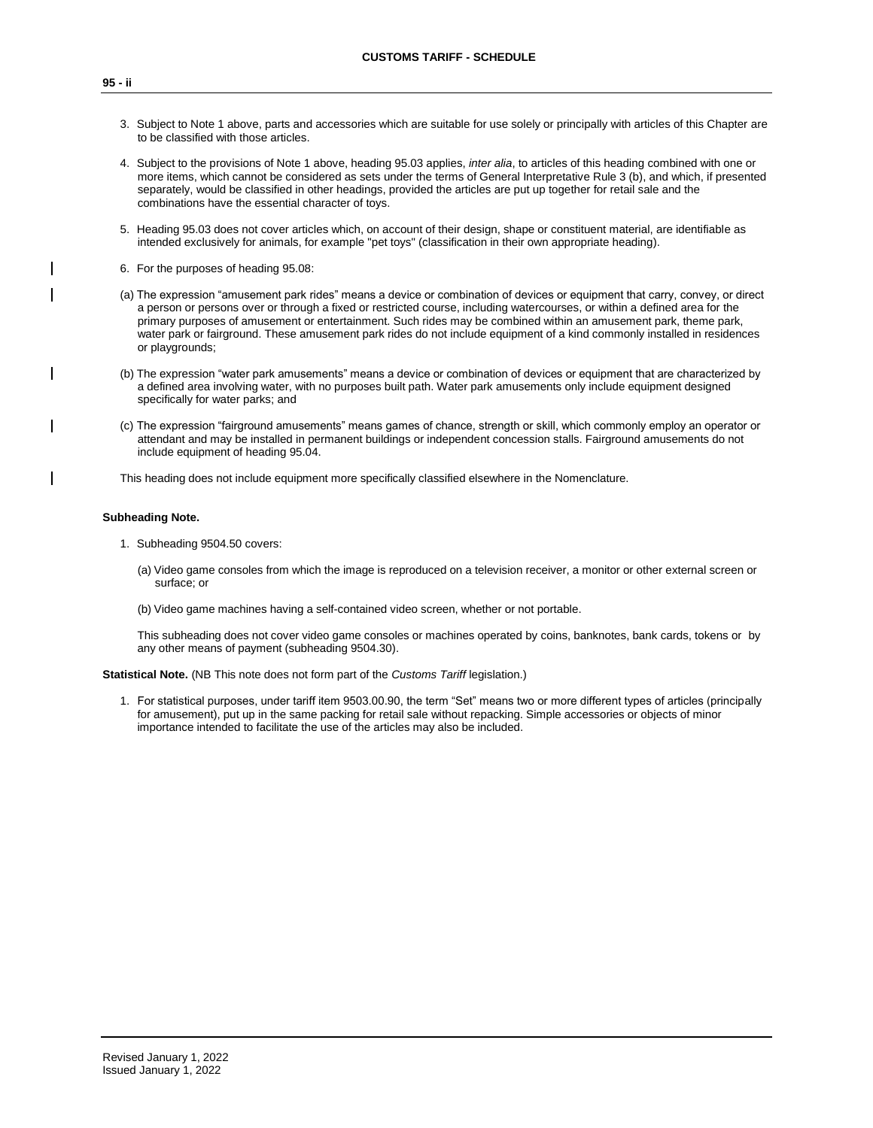- 3. Subject to Note 1 above, parts and accessories which are suitable for use solely or principally with articles of this Chapter are to be classified with those articles.
- 4. Subject to the provisions of Note 1 above, heading 95.03 applies, *inter alia*, to articles of this heading combined with one or more items, which cannot be considered as sets under the terms of General Interpretative Rule 3 (b), and which, if presented separately, would be classified in other headings, provided the articles are put up together for retail sale and the combinations have the essential character of toys.
- 5. Heading 95.03 does not cover articles which, on account of their design, shape or constituent material, are identifiable as intended exclusively for animals, for example "pet toys" (classification in their own appropriate heading).
- 6. For the purposes of heading 95.08:
- (a) The expression "amusement park rides" means a device or combination of devices or equipment that carry, convey, or direct a person or persons over or through a fixed or restricted course, including watercourses, or within a defined area for the primary purposes of amusement or entertainment. Such rides may be combined within an amusement park, theme park, water park or fairground. These amusement park rides do not include equipment of a kind commonly installed in residences or playgrounds;
- (b) The expression "water park amusements" means a device or combination of devices or equipment that are characterized by a defined area involving water, with no purposes built path. Water park amusements only include equipment designed specifically for water parks; and
- (c) The expression "fairground amusements" means games of chance, strength or skill, which commonly employ an operator or attendant and may be installed in permanent buildings or independent concession stalls. Fairground amusements do not include equipment of heading 95.04.

This heading does not include equipment more specifically classified elsewhere in the Nomenclature.

### **Subheading Note.**

- 1. Subheading 9504.50 covers:
	- (a) Video game consoles from which the image is reproduced on a television receiver, a monitor or other external screen or surface; or
	- (b) Video game machines having a self-contained video screen, whether or not portable.

This subheading does not cover video game consoles or machines operated by coins, banknotes, bank cards, tokens or by any other means of payment (subheading 9504.30).

**Statistical Note.** (NB This note does not form part of the *Customs Tariff* legislation.)

1. For statistical purposes, under tariff item 9503.00.90, the term "Set" means two or more different types of articles (principally for amusement), put up in the same packing for retail sale without repacking. Simple accessories or objects of minor importance intended to facilitate the use of the articles may also be included.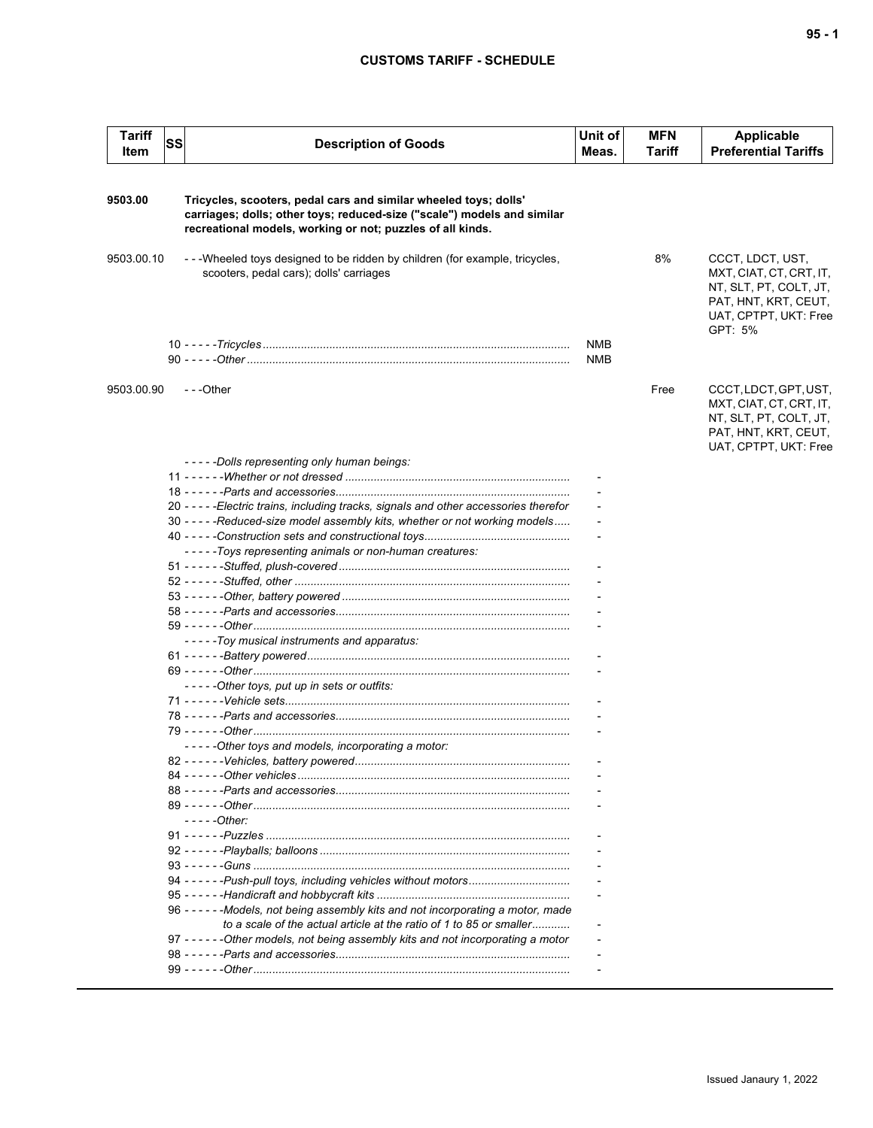# **CUSTOMS TARIFF - SCHEDULE**

| <b>Tariff</b><br>Item | <b>SS</b> | <b>Description of Goods</b>                                                                                                                                                                               | Unit of<br>Meas. | <b>MFN</b><br>Tariff | <b>Applicable</b><br><b>Preferential Tariffs</b>                                                                                  |
|-----------------------|-----------|-----------------------------------------------------------------------------------------------------------------------------------------------------------------------------------------------------------|------------------|----------------------|-----------------------------------------------------------------------------------------------------------------------------------|
|                       |           |                                                                                                                                                                                                           |                  |                      |                                                                                                                                   |
| 9503.00               |           | Tricycles, scooters, pedal cars and similar wheeled toys; dolls'<br>carriages; dolls; other toys; reduced-size ("scale") models and similar<br>recreational models, working or not; puzzles of all kinds. |                  |                      |                                                                                                                                   |
| 9503.00.10            |           | - - - Wheeled toys designed to be ridden by children (for example, tricycles,<br>scooters, pedal cars); dolls' carriages                                                                                  |                  | 8%                   | CCCT, LDCT, UST,<br>MXT, CIAT, CT, CRT, IT,<br>NT, SLT, PT, COLT, JT,<br>PAT, HNT, KRT, CEUT,<br>UAT, CPTPT, UKT: Free<br>GPT: 5% |
|                       |           |                                                                                                                                                                                                           | <b>NMB</b>       |                      |                                                                                                                                   |
|                       |           |                                                                                                                                                                                                           | NMB              |                      |                                                                                                                                   |
| 9503.00.90            |           | $- -$ Other                                                                                                                                                                                               |                  | Free                 | CCCT, LDCT, GPT, UST,<br>MXT, CIAT, CT, CRT, IT,<br>NT, SLT, PT, COLT, JT,<br>PAT, HNT, KRT, CEUT,<br>UAT, CPTPT, UKT: Free       |
|                       |           | -----Dolls representing only human beings:                                                                                                                                                                |                  |                      |                                                                                                                                   |
|                       |           |                                                                                                                                                                                                           |                  |                      |                                                                                                                                   |
|                       |           |                                                                                                                                                                                                           |                  |                      |                                                                                                                                   |
|                       |           | 20 - - - - - Electric trains, including tracks, signals and other accessories therefor                                                                                                                    |                  |                      |                                                                                                                                   |
|                       |           | 30 - - - - - Reduced-size model assembly kits, whether or not working models                                                                                                                              |                  |                      |                                                                                                                                   |
|                       |           |                                                                                                                                                                                                           |                  |                      |                                                                                                                                   |
|                       |           | - - - - - Toys representing animals or non-human creatures:                                                                                                                                               |                  |                      |                                                                                                                                   |
|                       |           |                                                                                                                                                                                                           |                  |                      |                                                                                                                                   |
|                       |           |                                                                                                                                                                                                           |                  |                      |                                                                                                                                   |
|                       |           |                                                                                                                                                                                                           |                  |                      |                                                                                                                                   |
|                       |           |                                                                                                                                                                                                           |                  |                      |                                                                                                                                   |
|                       |           | -----Toy musical instruments and apparatus:                                                                                                                                                               |                  |                      |                                                                                                                                   |
|                       |           |                                                                                                                                                                                                           |                  |                      |                                                                                                                                   |
|                       |           |                                                                                                                                                                                                           |                  |                      |                                                                                                                                   |
|                       |           | -----Other toys, put up in sets or outfits:                                                                                                                                                               |                  |                      |                                                                                                                                   |
|                       |           |                                                                                                                                                                                                           |                  |                      |                                                                                                                                   |
|                       |           |                                                                                                                                                                                                           |                  |                      |                                                                                                                                   |
|                       |           |                                                                                                                                                                                                           |                  |                      |                                                                                                                                   |
|                       |           | -----Other toys and models, incorporating a motor:                                                                                                                                                        |                  |                      |                                                                                                                                   |
|                       |           |                                                                                                                                                                                                           |                  |                      |                                                                                                                                   |
|                       |           |                                                                                                                                                                                                           |                  |                      |                                                                                                                                   |
|                       |           |                                                                                                                                                                                                           |                  |                      |                                                                                                                                   |
|                       |           |                                                                                                                                                                                                           |                  |                      |                                                                                                                                   |
|                       |           | $---Other:$                                                                                                                                                                                               |                  |                      |                                                                                                                                   |
|                       |           |                                                                                                                                                                                                           |                  |                      |                                                                                                                                   |
|                       |           |                                                                                                                                                                                                           |                  |                      |                                                                                                                                   |
|                       |           |                                                                                                                                                                                                           |                  |                      |                                                                                                                                   |
|                       |           |                                                                                                                                                                                                           |                  |                      |                                                                                                                                   |
|                       |           |                                                                                                                                                                                                           |                  |                      |                                                                                                                                   |
|                       |           | 96 - - - - - - Models, not being assembly kits and not incorporating a motor, made                                                                                                                        |                  |                      |                                                                                                                                   |
|                       |           | to a scale of the actual article at the ratio of 1 to 85 or smaller                                                                                                                                       |                  |                      |                                                                                                                                   |
|                       |           | 97 ----- - Other models, not being assembly kits and not incorporating a motor                                                                                                                            |                  |                      |                                                                                                                                   |
|                       |           |                                                                                                                                                                                                           |                  |                      |                                                                                                                                   |
|                       |           |                                                                                                                                                                                                           |                  |                      |                                                                                                                                   |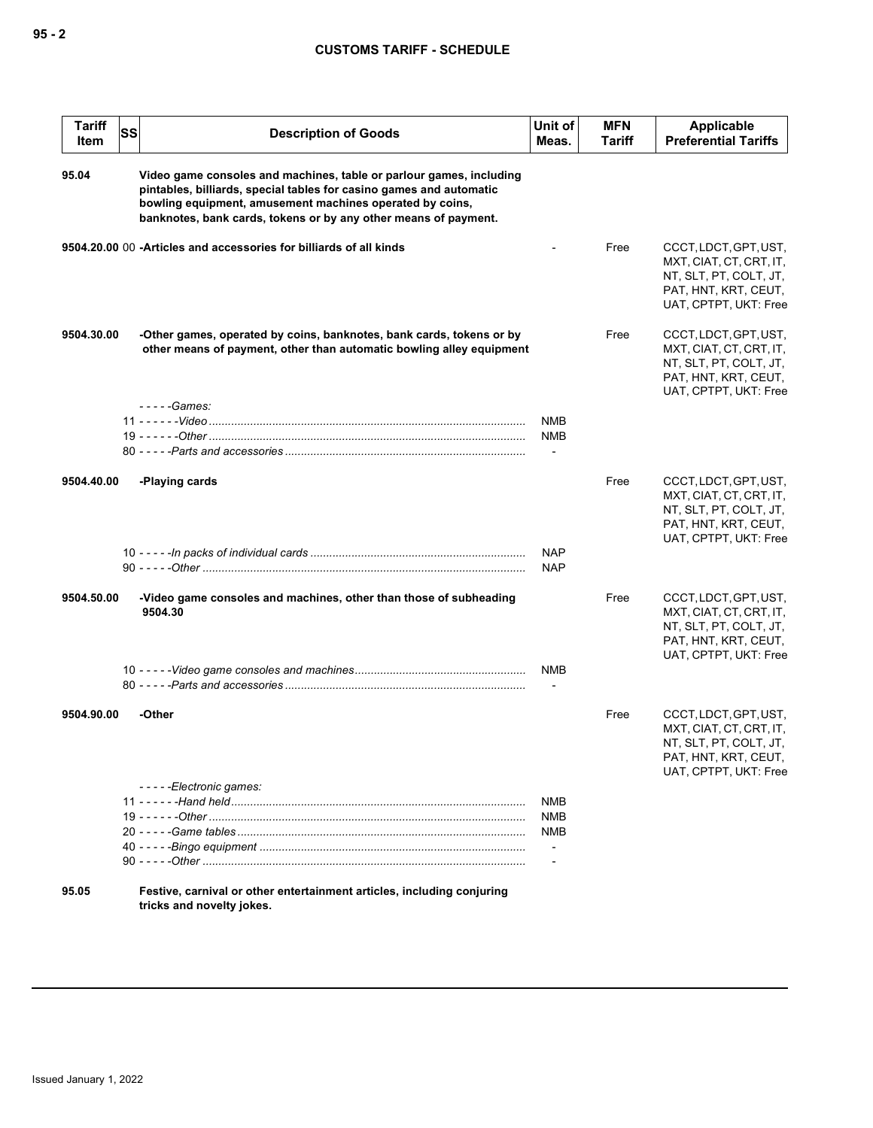| <b>Tariff</b><br>Item | SS | <b>Description of Goods</b>                                                                                                                                                                                                                                               | Unit of<br>Meas.         | <b>MFN</b><br>Tariff | Applicable<br><b>Preferential Tariffs</b>                                                                                   |
|-----------------------|----|---------------------------------------------------------------------------------------------------------------------------------------------------------------------------------------------------------------------------------------------------------------------------|--------------------------|----------------------|-----------------------------------------------------------------------------------------------------------------------------|
| 95.04                 |    | Video game consoles and machines, table or parlour games, including<br>pintables, billiards, special tables for casino games and automatic<br>bowling equipment, amusement machines operated by coins,<br>banknotes, bank cards, tokens or by any other means of payment. |                          |                      |                                                                                                                             |
|                       |    | 9504.20.00 00 -Articles and accessories for billiards of all kinds                                                                                                                                                                                                        |                          | Free                 | CCCT, LDCT, GPT, UST,<br>MXT, CIAT, CT, CRT, IT,<br>NT, SLT, PT, COLT, JT,<br>PAT, HNT, KRT, CEUT,<br>UAT, CPTPT, UKT: Free |
| 9504.30.00            |    | -Other games, operated by coins, banknotes, bank cards, tokens or by<br>other means of payment, other than automatic bowling alley equipment                                                                                                                              |                          | Free                 | CCCT, LDCT, GPT, UST,<br>MXT, CIAT, CT, CRT, IT,<br>NT, SLT, PT, COLT, JT,<br>PAT, HNT, KRT, CEUT,<br>UAT, CPTPT, UKT: Free |
|                       |    | - - - - - Games:                                                                                                                                                                                                                                                          | <b>NMB</b><br><b>NMB</b> |                      |                                                                                                                             |
| 9504.40.00            |    | -Playing cards                                                                                                                                                                                                                                                            |                          | Free                 | CCCT, LDCT, GPT, UST,<br>MXT, CIAT, CT, CRT, IT,<br>NT, SLT, PT, COLT, JT,<br>PAT, HNT, KRT, CEUT,<br>UAT, CPTPT, UKT: Free |
|                       |    |                                                                                                                                                                                                                                                                           | <b>NAP</b><br><b>NAP</b> |                      |                                                                                                                             |
| 9504.50.00            |    | -Video game consoles and machines, other than those of subheading<br>9504.30                                                                                                                                                                                              |                          | Free                 | CCCT, LDCT, GPT, UST,<br>MXT, CIAT, CT, CRT, IT,<br>NT, SLT, PT, COLT, JT,<br>PAT, HNT, KRT, CEUT,<br>UAT, CPTPT, UKT: Free |
|                       |    |                                                                                                                                                                                                                                                                           | <b>NMB</b>               |                      |                                                                                                                             |
| 9504.90.00            |    | -Other                                                                                                                                                                                                                                                                    |                          | Free                 | CCCT, LDCT, GPT, UST,<br>MXT, CIAT, CT, CRT, IT,<br>NT, SLT, PT, COLT, JT,<br>PAT, HNT, KRT, CEUT,<br>UAT, CPTPT, UKT: Free |
|                       |    | -----Electronic games:                                                                                                                                                                                                                                                    | NMB                      |                      |                                                                                                                             |
|                       |    |                                                                                                                                                                                                                                                                           | <b>NMB</b>               |                      |                                                                                                                             |
|                       |    |                                                                                                                                                                                                                                                                           | NMB                      |                      |                                                                                                                             |
|                       |    |                                                                                                                                                                                                                                                                           |                          |                      |                                                                                                                             |
| 95.05                 |    | Festive, carnival or other entertainment articles, including conjuring<br>tricks and novelty jokes.                                                                                                                                                                       |                          |                      |                                                                                                                             |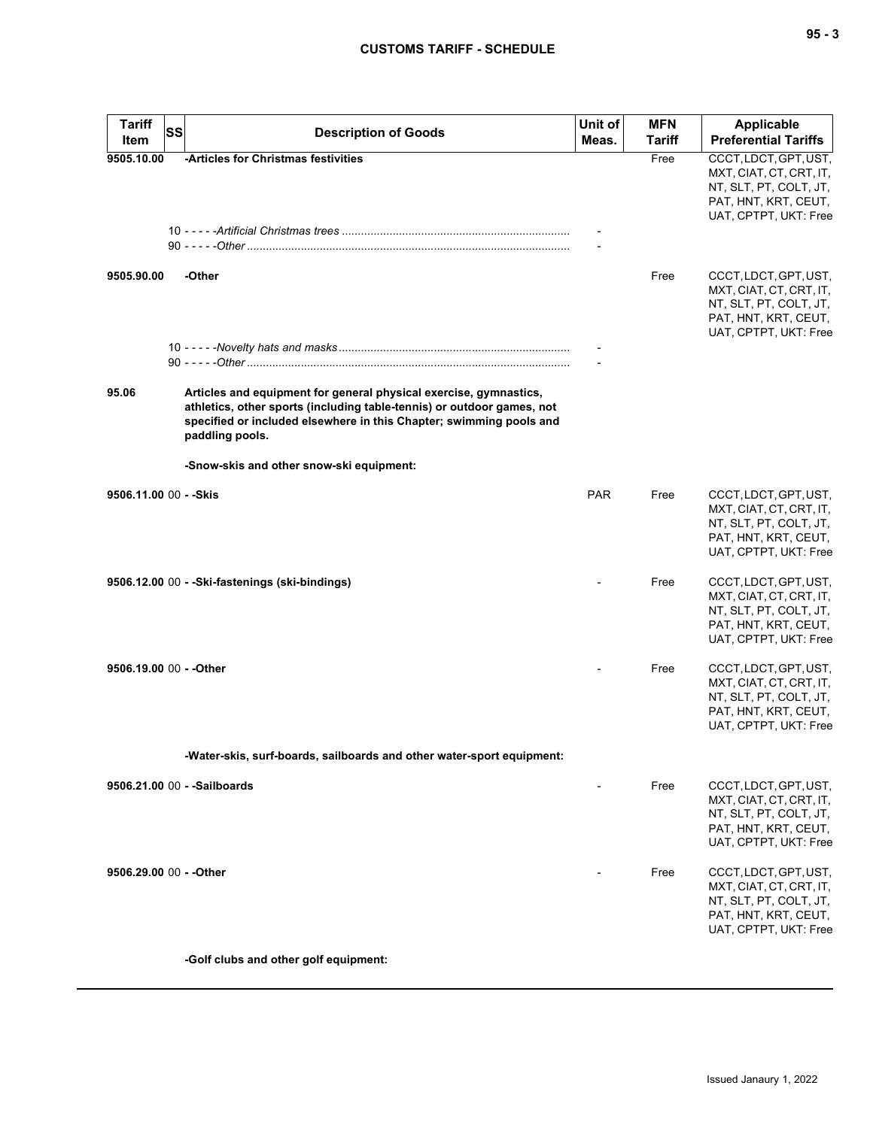| <b>Tariff</b>           | <b>SS</b> | <b>Description of Goods</b>                                                                                                                                                                                                           | Unit of<br><b>MFN</b> |               | Applicable                                                                                                                  |
|-------------------------|-----------|---------------------------------------------------------------------------------------------------------------------------------------------------------------------------------------------------------------------------------------|-----------------------|---------------|-----------------------------------------------------------------------------------------------------------------------------|
| Item                    |           |                                                                                                                                                                                                                                       | Meas.                 | <b>Tariff</b> | <b>Preferential Tariffs</b>                                                                                                 |
| 9505.10.00              |           | -Articles for Christmas festivities                                                                                                                                                                                                   |                       | Free          | CCCT, LDCT, GPT, UST,<br>MXT, CIAT, CT, CRT, IT,<br>NT, SLT, PT, COLT, JT,<br>PAT, HNT, KRT, CEUT,<br>UAT, CPTPT, UKT: Free |
| 9505.90.00              |           | -Other                                                                                                                                                                                                                                |                       | Free          | CCCT, LDCT, GPT, UST,<br>MXT, CIAT, CT, CRT, IT,<br>NT, SLT, PT, COLT, JT,<br>PAT, HNT, KRT, CEUT,<br>UAT, CPTPT, UKT: Free |
| 95.06                   |           | Articles and equipment for general physical exercise, gymnastics,<br>athletics, other sports (including table-tennis) or outdoor games, not<br>specified or included elsewhere in this Chapter; swimming pools and<br>paddling pools. |                       |               |                                                                                                                             |
|                         |           | -Snow-skis and other snow-ski equipment:                                                                                                                                                                                              |                       |               |                                                                                                                             |
| 9506.11.00 00 - - Skis  |           |                                                                                                                                                                                                                                       | <b>PAR</b>            | Free          | CCCT, LDCT, GPT, UST,<br>MXT, CIAT, CT, CRT, IT,<br>NT, SLT, PT, COLT, JT,<br>PAT, HNT, KRT, CEUT,<br>UAT, CPTPT, UKT: Free |
|                         |           | 9506.12.00 00 - - Ski-fastenings (ski-bindings)                                                                                                                                                                                       |                       | Free          | CCCT, LDCT, GPT, UST,<br>MXT, CIAT, CT, CRT, IT,<br>NT, SLT, PT, COLT, JT,<br>PAT, HNT, KRT, CEUT,<br>UAT, CPTPT, UKT: Free |
| 9506.19.00 00 - - Other |           |                                                                                                                                                                                                                                       |                       | Free          | CCCT, LDCT, GPT, UST,<br>MXT, CIAT, CT, CRT, IT,<br>NT, SLT, PT, COLT, JT,<br>PAT, HNT, KRT, CEUT,<br>UAT, CPTPT, UKT: Free |
|                         |           | -Water-skis, surf-boards, sailboards and other water-sport equipment:                                                                                                                                                                 |                       |               |                                                                                                                             |
|                         |           | 9506.21.00 00 - - Sailboards                                                                                                                                                                                                          |                       | Free          | CCCT, LDCT, GPT, UST,<br>MXT, CIAT, CT, CRT, IT,<br>NT, SLT, PT, COLT, JT,<br>PAT, HNT, KRT, CEUT,<br>UAT, CPTPT, UKT: Free |
| 9506.29.00 00 - - Other |           |                                                                                                                                                                                                                                       |                       | Free          | CCCT, LDCT, GPT, UST,<br>MXT, CIAT, CT, CRT, IT,<br>NT, SLT, PT, COLT, JT,<br>PAT, HNT, KRT, CEUT,<br>UAT, CPTPT, UKT: Free |
|                         |           | -Golf clubs and other golf equipment:                                                                                                                                                                                                 |                       |               |                                                                                                                             |
|                         |           |                                                                                                                                                                                                                                       |                       |               |                                                                                                                             |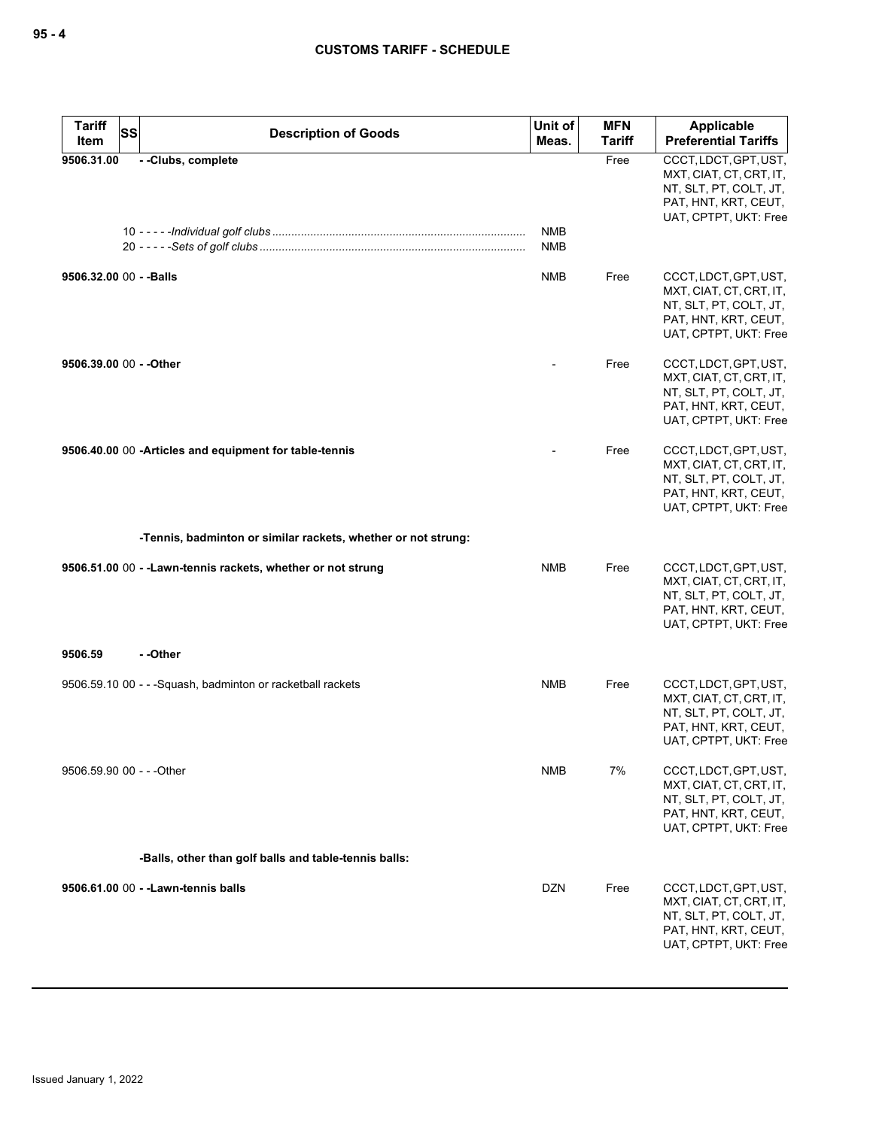| <b>Tariff</b><br>Item     | SS<br><b>Description of Goods</b>                             | Unit of<br>Meas. | <b>MFN</b><br><b>Tariff</b> | Applicable<br><b>Preferential Tariffs</b>                                                                                   |
|---------------------------|---------------------------------------------------------------|------------------|-----------------------------|-----------------------------------------------------------------------------------------------------------------------------|
| 9506.31.00                | --Clubs, complete                                             | <b>NMB</b>       | Free                        | CCCT, LDCT, GPT, UST,<br>MXT, CIAT, CT, CRT, IT,<br>NT, SLT, PT, COLT, JT,<br>PAT, HNT, KRT, CEUT,<br>UAT, CPTPT, UKT: Free |
|                           |                                                               | <b>NMB</b>       |                             |                                                                                                                             |
| 9506.32.00 00 - - Balls   |                                                               | <b>NMB</b>       | Free                        | CCCT, LDCT, GPT, UST,<br>MXT, CIAT, CT, CRT, IT,<br>NT, SLT, PT, COLT, JT,<br>PAT, HNT, KRT, CEUT,<br>UAT, CPTPT, UKT: Free |
| 9506.39.00 00 - - Other   |                                                               |                  | Free                        | CCCT, LDCT, GPT, UST,<br>MXT, CIAT, CT, CRT, IT,<br>NT, SLT, PT, COLT, JT,<br>PAT, HNT, KRT, CEUT,<br>UAT, CPTPT, UKT: Free |
|                           | 9506.40.00 00 -Articles and equipment for table-tennis        |                  | Free                        | CCCT, LDCT, GPT, UST,<br>MXT, CIAT, CT, CRT, IT,<br>NT, SLT, PT, COLT, JT,<br>PAT, HNT, KRT, CEUT,<br>UAT, CPTPT, UKT: Free |
|                           | -Tennis, badminton or similar rackets, whether or not strung: |                  |                             |                                                                                                                             |
|                           | 9506.51.00 00 - - Lawn-tennis rackets, whether or not strung  | <b>NMB</b>       | Free                        | CCCT, LDCT, GPT, UST,<br>MXT, CIAT, CT, CRT, IT,<br>NT, SLT, PT, COLT, JT,<br>PAT, HNT, KRT, CEUT,<br>UAT, CPTPT, UKT: Free |
| 9506.59                   | - -Other                                                      |                  |                             |                                                                                                                             |
|                           | 9506.59.10 00 - - - Squash, badminton or racketball rackets   | NMB              | Free                        | CCCT, LDCT, GPT, UST,<br>MXT, CIAT, CT, CRT, IT,<br>NT, SLT, PT, COLT, JT,<br>PAT, HNT, KRT, CEUT,<br>UAT, CPTPT, UKT: Free |
| 9506.59.90 00 - - - Other |                                                               | <b>NMB</b>       | 7%                          | CCCT, LDCT, GPT, UST,<br>MXT, CIAT, CT, CRT, IT,<br>NT, SLT, PT, COLT, JT,<br>PAT, HNT, KRT, CEUT,<br>UAT, CPTPT, UKT: Free |
|                           | -Balls, other than golf balls and table-tennis balls:         |                  |                             |                                                                                                                             |
|                           | 9506.61.00 00 - - Lawn-tennis balls                           | <b>DZN</b>       | Free                        | CCCT, LDCT, GPT, UST,<br>MXT, CIAT, CT, CRT, IT,<br>NT, SLT, PT, COLT, JT,<br>PAT, HNT, KRT, CEUT,<br>UAT, CPTPT, UKT: Free |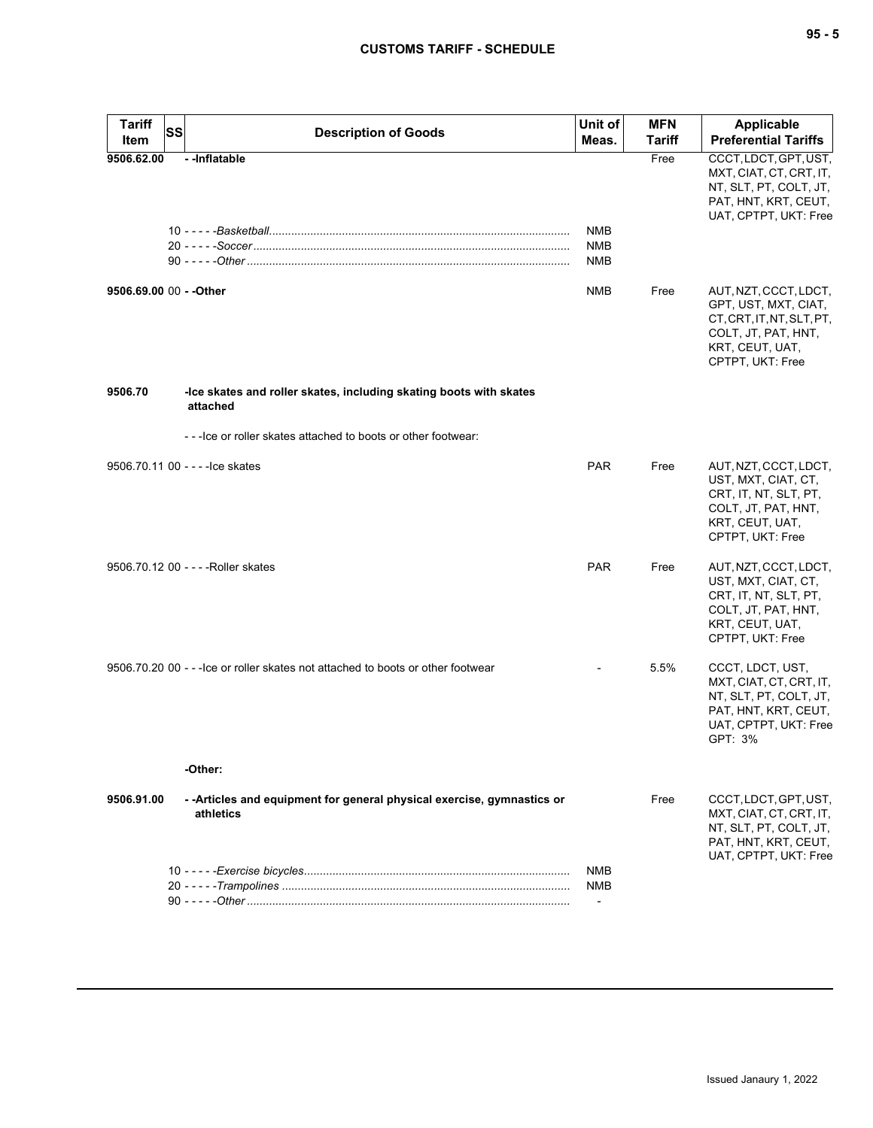| <b>Tariff</b><br>Item | <b>SS</b> | <b>Description of Goods</b>                                                          | Unit of<br>Meas.                                     | <b>MFN</b><br><b>Tariff</b> | <b>Applicable</b><br><b>Preferential Tariffs</b>                                                                                         |
|-----------------------|-----------|--------------------------------------------------------------------------------------|------------------------------------------------------|-----------------------------|------------------------------------------------------------------------------------------------------------------------------------------|
| 9506.62.00            |           | -- Inflatable                                                                        | <b>NMB</b><br><b>NMB</b><br><b>NMB</b>               | Free                        | CCCT, LDCT, GPT, UST,<br>MXT, CIAT, CT, CRT, IT,<br>NT, SLT, PT, COLT, JT,<br>PAT, HNT, KRT, CEUT,<br>UAT, CPTPT, UKT: Free              |
|                       |           |                                                                                      | <b>NMB</b>                                           | Free                        | AUT, NZT, CCCT, LDCT,<br>GPT, UST, MXT, CIAT,<br>CT, CRT, IT, NT, SLT, PT,<br>COLT, JT, PAT, HNT,<br>KRT, CEUT, UAT,<br>CPTPT, UKT: Free |
| 9506.70               |           | -Ice skates and roller skates, including skating boots with skates<br>attached       |                                                      |                             |                                                                                                                                          |
|                       |           | ---Ice or roller skates attached to boots or other footwear:                         |                                                      |                             |                                                                                                                                          |
|                       |           | 9506.70.11 00 - - - - lce skates                                                     | PAR                                                  | Free                        | AUT, NZT, CCCT, LDCT,<br>UST, MXT, CIAT, CT,<br>CRT, IT, NT, SLT, PT,<br>COLT, JT, PAT, HNT,<br>KRT, CEUT, UAT,<br>CPTPT, UKT: Free      |
|                       |           | 9506.70.12 00 - - - -Roller skates                                                   | <b>PAR</b>                                           | Free                        | AUT, NZT, CCCT, LDCT,<br>UST, MXT, CIAT, CT,<br>CRT, IT, NT, SLT, PT,<br>COLT, JT, PAT, HNT,<br>KRT, CEUT, UAT,<br>CPTPT, UKT: Free      |
|                       |           | 9506.70.20 00 - - -lce or roller skates not attached to boots or other footwear      |                                                      | 5.5%                        | CCCT, LDCT, UST,<br>MXT, CIAT, CT, CRT, IT,<br>NT, SLT, PT, COLT, JT,<br>PAT, HNT, KRT, CEUT,<br>UAT, CPTPT, UKT: Free<br>GPT: 3%        |
|                       |           | -Other:                                                                              |                                                      |                             |                                                                                                                                          |
| 9506.91.00            |           | - - Articles and equipment for general physical exercise, gymnastics or<br>athletics |                                                      | Free                        | CCCT, LDCT, GPT, UST,<br>MXT, CIAT, CT, CRT, IT,<br>NT, SLT, PT, COLT, JT,<br>PAT, HNT, KRT, CEUT,<br>UAT, CPTPT, UKT: Free              |
|                       |           |                                                                                      | <b>NMB</b><br><b>NMB</b><br>$\overline{\phantom{a}}$ |                             |                                                                                                                                          |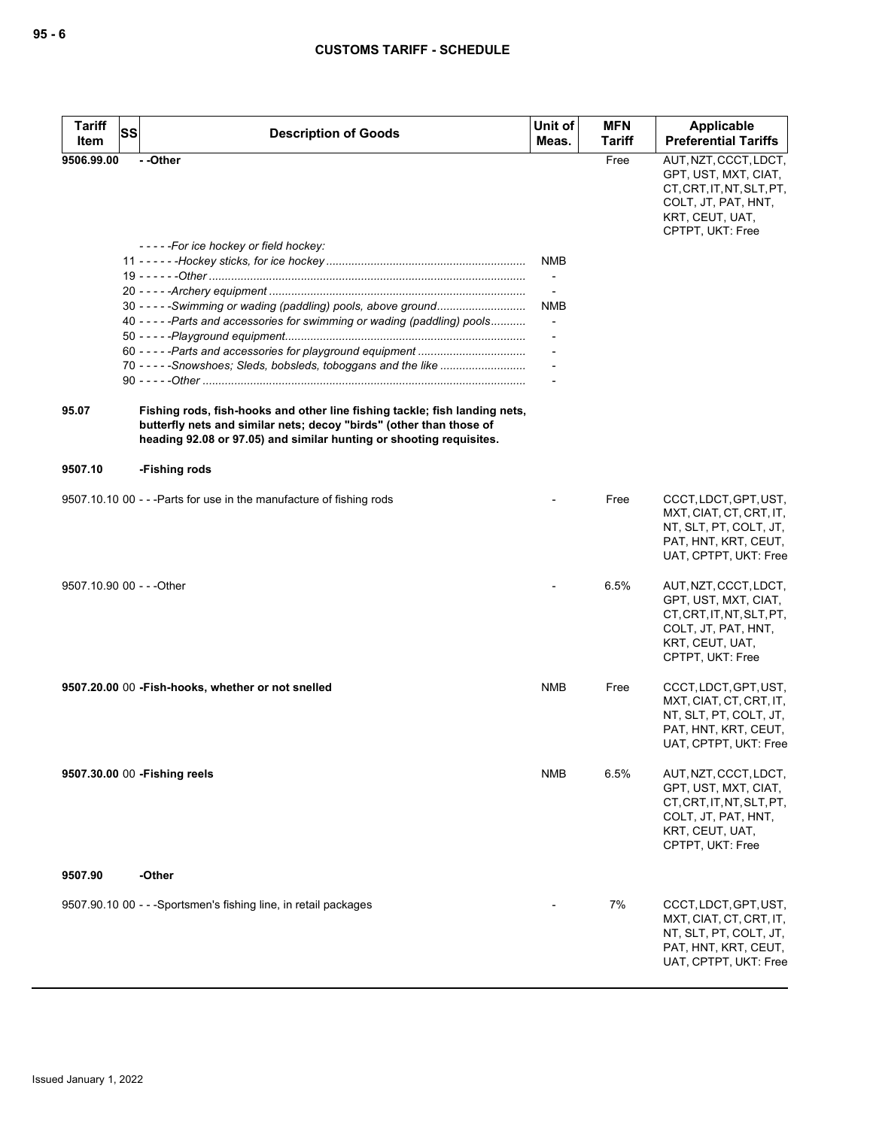| <b>Tariff</b><br>Item     | SS | <b>Description of Goods</b>                                                                                                                                                                                              | Unit of<br>Meas.         | <b>MFN</b><br><b>Tariff</b> | <b>Applicable</b><br><b>Preferential Tariffs</b>                                                                                         |
|---------------------------|----|--------------------------------------------------------------------------------------------------------------------------------------------------------------------------------------------------------------------------|--------------------------|-----------------------------|------------------------------------------------------------------------------------------------------------------------------------------|
| 9506.99.00                |    | - -Other                                                                                                                                                                                                                 |                          | Free                        | AUT, NZT, CCCT, LDCT,<br>GPT, UST, MXT, CIAT,<br>CT, CRT, IT, NT, SLT, PT,<br>COLT, JT, PAT, HNT,<br>KRT, CEUT, UAT,<br>CPTPT, UKT: Free |
|                           |    | -----For ice hockey or field hockey:                                                                                                                                                                                     |                          |                             |                                                                                                                                          |
|                           |    |                                                                                                                                                                                                                          | NMB                      |                             |                                                                                                                                          |
|                           |    |                                                                                                                                                                                                                          |                          |                             |                                                                                                                                          |
|                           |    |                                                                                                                                                                                                                          |                          |                             |                                                                                                                                          |
|                           |    | 30 - - - - - Swimming or wading (paddling) pools, above ground                                                                                                                                                           | <b>NMB</b>               |                             |                                                                                                                                          |
|                           |    | 40 - - - - - Parts and accessories for swimming or wading (paddling) pools                                                                                                                                               | $\overline{\phantom{a}}$ |                             |                                                                                                                                          |
|                           |    |                                                                                                                                                                                                                          |                          |                             |                                                                                                                                          |
|                           |    |                                                                                                                                                                                                                          |                          |                             |                                                                                                                                          |
|                           |    |                                                                                                                                                                                                                          |                          |                             |                                                                                                                                          |
| 95.07                     |    | Fishing rods, fish-hooks and other line fishing tackle; fish landing nets,<br>butterfly nets and similar nets; decoy "birds" (other than those of<br>heading 92.08 or 97.05) and similar hunting or shooting requisites. |                          |                             |                                                                                                                                          |
| 9507.10                   |    | -Fishing rods                                                                                                                                                                                                            |                          |                             |                                                                                                                                          |
|                           |    | 9507.10.10 00 - - - Parts for use in the manufacture of fishing rods                                                                                                                                                     |                          | Free                        | CCCT, LDCT, GPT, UST,<br>MXT, CIAT, CT, CRT, IT,<br>NT, SLT, PT, COLT, JT,<br>PAT, HNT, KRT, CEUT,<br>UAT, CPTPT, UKT: Free              |
| 9507.10.90 00 - - - Other |    |                                                                                                                                                                                                                          |                          | 6.5%                        | AUT, NZT, CCCT, LDCT,<br>GPT, UST, MXT, CIAT,<br>CT, CRT, IT, NT, SLT, PT,<br>COLT, JT, PAT, HNT,<br>KRT, CEUT, UAT,<br>CPTPT, UKT: Free |
|                           |    | 9507.20.00 00 - Fish-hooks, whether or not snelled                                                                                                                                                                       | NMB                      | Free                        | CCCT, LDCT, GPT, UST,<br>MXT, CIAT, CT, CRT, IT,<br>NT, SLT, PT, COLT, JT,<br>PAT, HNT, KRT, CEUT,<br>UAT, CPTPT, UKT: Free              |
|                           |    | 9507.30.00 00 - Fishing reels                                                                                                                                                                                            | NMB                      | 6.5%                        | AUT, NZT, CCCT, LDCT,<br>GPT, UST, MXT, CIAT,<br>CT, CRT, IT, NT, SLT, PT,<br>COLT, JT, PAT, HNT,<br>KRT, CEUT, UAT,<br>CPTPT, UKT: Free |
| 9507.90                   |    | -Other                                                                                                                                                                                                                   |                          |                             |                                                                                                                                          |
|                           |    | 9507.90.10 00 - - -Sportsmen's fishing line, in retail packages                                                                                                                                                          |                          | 7%                          | CCCT, LDCT, GPT, UST,<br>MXT, CIAT, CT, CRT, IT,<br>NT, SLT, PT, COLT, JT,<br>PAT, HNT, KRT, CEUT,<br>UAT, CPTPT, UKT: Free              |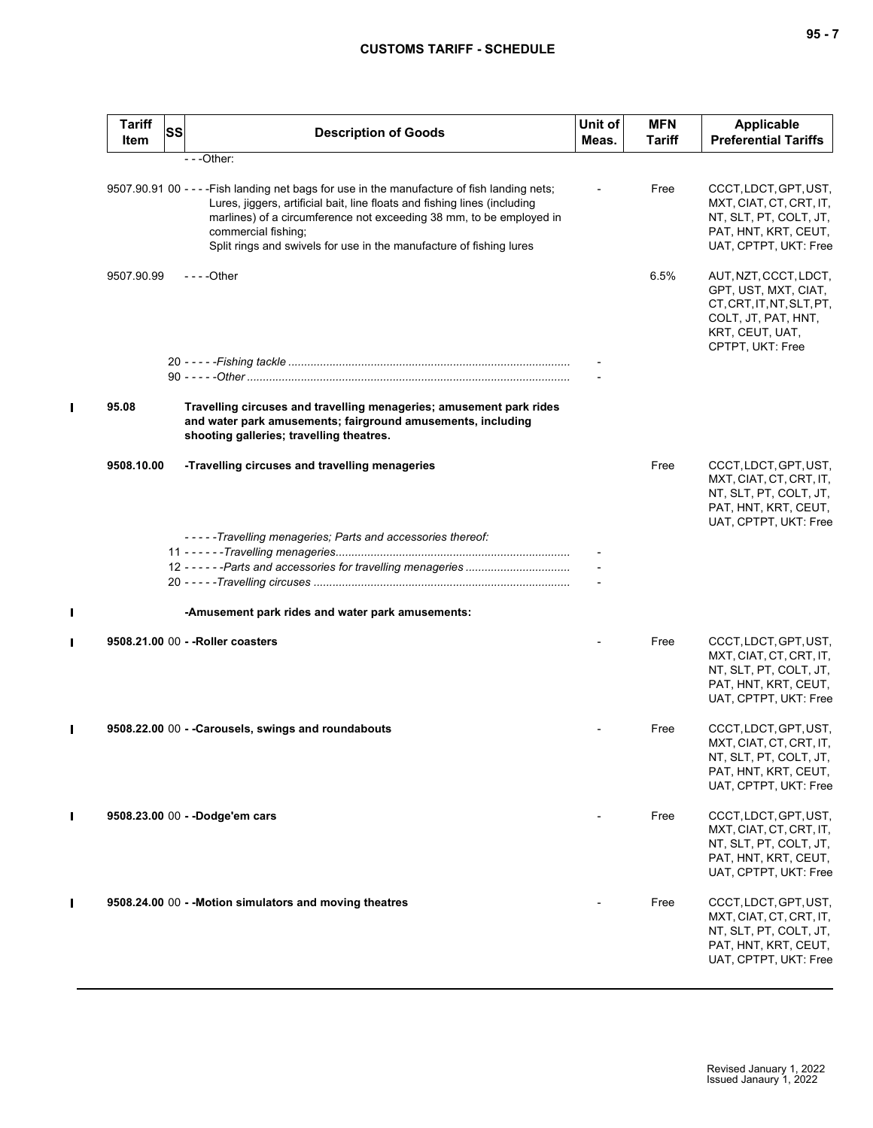| I<br>$\overline{\phantom{a}}$<br>$\sim$ |  |  |
|-----------------------------------------|--|--|
|-----------------------------------------|--|--|

|   | <b>Tariff</b><br>Item | SS | <b>Description of Goods</b>                                                                                                                                                                                                                                                                                                                    | Unit of<br>Meas. | <b>MFN</b><br><b>Tariff</b> | <b>Applicable</b><br><b>Preferential Tariffs</b>                                                                                         |
|---|-----------------------|----|------------------------------------------------------------------------------------------------------------------------------------------------------------------------------------------------------------------------------------------------------------------------------------------------------------------------------------------------|------------------|-----------------------------|------------------------------------------------------------------------------------------------------------------------------------------|
|   |                       |    | $- -$ Other:                                                                                                                                                                                                                                                                                                                                   |                  |                             |                                                                                                                                          |
|   |                       |    | 9507.90.91 00 - - - - Fish landing net bags for use in the manufacture of fish landing nets;<br>Lures, jiggers, artificial bait, line floats and fishing lines (including<br>marlines) of a circumference not exceeding 38 mm, to be employed in<br>commercial fishing;<br>Split rings and swivels for use in the manufacture of fishing lures |                  | Free                        | CCCT, LDCT, GPT, UST,<br>MXT, CIAT, CT, CRT, IT,<br>NT, SLT, PT, COLT, JT,<br>PAT, HNT, KRT, CEUT,<br>UAT, CPTPT, UKT: Free              |
|   | 9507.90.99            |    | $--$ Other                                                                                                                                                                                                                                                                                                                                     |                  | 6.5%                        | AUT, NZT, CCCT, LDCT,<br>GPT, UST, MXT, CIAT,<br>CT, CRT, IT, NT, SLT, PT,<br>COLT, JT, PAT, HNT,<br>KRT, CEUT, UAT,<br>CPTPT, UKT: Free |
|   |                       |    |                                                                                                                                                                                                                                                                                                                                                |                  |                             |                                                                                                                                          |
|   |                       |    |                                                                                                                                                                                                                                                                                                                                                |                  |                             |                                                                                                                                          |
|   | 95.08                 |    | Travelling circuses and travelling menageries; amusement park rides<br>and water park amusements; fairground amusements, including<br>shooting galleries; travelling theatres.                                                                                                                                                                 |                  |                             |                                                                                                                                          |
|   | 9508.10.00            |    | -Travelling circuses and travelling menageries                                                                                                                                                                                                                                                                                                 |                  | Free                        | CCCT, LDCT, GPT, UST,<br>MXT, CIAT, CT, CRT, IT,<br>NT, SLT, PT, COLT, JT,<br>PAT, HNT, KRT, CEUT,<br>UAT, CPTPT, UKT: Free              |
|   |                       |    | - - - - - Travelling menageries; Parts and accessories thereof:                                                                                                                                                                                                                                                                                |                  |                             |                                                                                                                                          |
|   |                       |    |                                                                                                                                                                                                                                                                                                                                                |                  |                             |                                                                                                                                          |
|   |                       |    |                                                                                                                                                                                                                                                                                                                                                |                  |                             |                                                                                                                                          |
|   |                       |    |                                                                                                                                                                                                                                                                                                                                                |                  |                             |                                                                                                                                          |
|   |                       |    | -Amusement park rides and water park amusements:                                                                                                                                                                                                                                                                                               |                  |                             |                                                                                                                                          |
|   |                       |    | 9508.21.00 00 - - Roller coasters                                                                                                                                                                                                                                                                                                              |                  | Free                        | CCCT, LDCT, GPT, UST,                                                                                                                    |
|   |                       |    |                                                                                                                                                                                                                                                                                                                                                |                  |                             | MXT, CIAT, CT, CRT, IT,<br>NT, SLT, PT, COLT, JT,<br>PAT, HNT, KRT, CEUT,<br>UAT, CPTPT, UKT: Free                                       |
| I |                       |    | 9508.22.00 00 - - Carousels, swings and roundabouts                                                                                                                                                                                                                                                                                            |                  | Free                        | CCCT, LDCT, GPT, UST,<br>MXT, CIAT, CT, CRT, IT,<br>NT, SLT, PT, COLT, JT,<br>PAT, HNT, KRT, CEUT,<br>UAT, CPTPT, UKT: Free              |
|   |                       |    | 9508.23.00 00 - -Dodge'em cars                                                                                                                                                                                                                                                                                                                 |                  | Free                        | CCCT, LDCT, GPT, UST,<br>MXT, CIAT, CT, CRT, IT,<br>NT, SLT, PT, COLT, JT,<br>PAT, HNT, KRT, CEUT,<br>UAT, CPTPT, UKT: Free              |
|   |                       |    | 9508.24.00 00 - - Motion simulators and moving theatres                                                                                                                                                                                                                                                                                        |                  | Free                        | CCCT, LDCT, GPT, UST,<br>MXT, CIAT, CT, CRT, IT,<br>NT, SLT, PT, COLT, JT,<br>PAT, HNT, KRT, CEUT,<br>UAT, CPTPT, UKT: Free              |